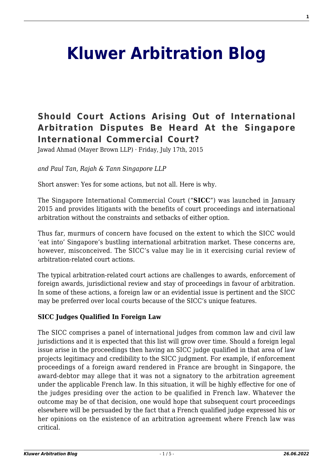# **[Kluwer Arbitration Blog](http://arbitrationblog.kluwerarbitration.com/)**

# **[Should Court Actions Arising Out of International](http://arbitrationblog.kluwerarbitration.com/2015/07/17/should-court-actions-arising-out-of-international-arbitration-disputes-be-heard-at-the-singapore-international-commercial-court/) [Arbitration Disputes Be Heard At the Singapore](http://arbitrationblog.kluwerarbitration.com/2015/07/17/should-court-actions-arising-out-of-international-arbitration-disputes-be-heard-at-the-singapore-international-commercial-court/) [International Commercial Court?](http://arbitrationblog.kluwerarbitration.com/2015/07/17/should-court-actions-arising-out-of-international-arbitration-disputes-be-heard-at-the-singapore-international-commercial-court/)**

Jawad Ahmad (Mayer Brown LLP) · Friday, July 17th, 2015

*and Paul Tan, Rajah & Tann Singapore LLP*

Short answer: Yes for some actions, but not all. Here is why.

The Singapore International Commercial Court ("**SICC**") was launched in January 2015 and provides litigants with the benefits of court proceedings and international arbitration without the constraints and setbacks of either option.

Thus far, murmurs of concern have focused on the extent to which the SICC would 'eat into' Singapore's bustling international arbitration market. These concerns are, however, misconceived. The SICC's value may lie in it exercising curial review of arbitration-related court actions.

The typical arbitration-related court actions are challenges to awards, enforcement of foreign awards, jurisdictional review and stay of proceedings in favour of arbitration. In some of these actions, a foreign law or an evidential issue is pertinent and the SICC may be preferred over local courts because of the SICC's unique features.

#### **SICC Judges Qualified In Foreign Law**

The SICC comprises a panel of international judges from common law and civil law jurisdictions and it is expected that this list will grow over time. Should a foreign legal issue arise in the proceedings then having an SICC judge qualified in that area of law projects legitimacy and credibility to the SICC judgment. For example, if enforcement proceedings of a foreign award rendered in France are brought in Singapore, the award-debtor may allege that it was not a signatory to the arbitration agreement under the applicable French law. In this situation, it will be highly effective for one of the judges presiding over the action to be qualified in French law. Whatever the outcome may be of that decision, one would hope that subsequent court proceedings elsewhere will be persuaded by the fact that a French qualified judge expressed his or her opinions on the existence of an arbitration agreement where French law was critical.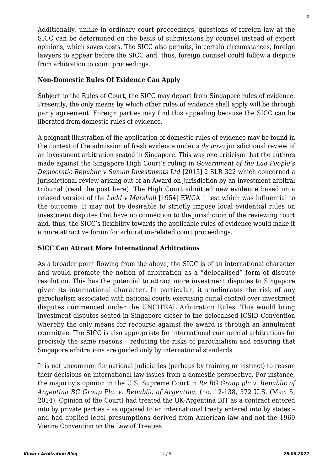Additionally, unlike in ordinary court proceedings, questions of foreign law at the SICC can be determined on the basis of submissions by counsel instead of expert opinions, which saves costs. The SICC also permits, in certain circumstances, foreign lawyers to appear before the SICC and, thus, foreign counsel could follow a dispute from arbitration to court proceedings.

# **Non-Domestic Rules Of Evidence Can Apply**

Subject to the Rules of Court, the SICC may depart from Singapore rules of evidence. Presently, the only means by which other rules of evidence shall apply will be through party agreement. Foreign parties may find this appealing because the SICC can be liberated from domestic rules of evidence.

A poignant illustration of the application of domestic rules of evidence may be found in the context of the admission of fresh evidence under a *de novo* jurisdictional review of an investment arbitration seated in Singapore. This was one criticism that the authors made against the Singapore High Court's ruling in *Government of the Lao People's Democratic Republic v Sanum Investments Ltd* [2015] 2 SLR 322 which concerned a jurisdictional review arising out of an Award on Jurisdiction by an investment arbitral tribunal (read the post [here](http://kluwerarbitrationblog.com/blog/2015/02/04/singapore-court-reviews-investment-arbitral-tribunals-decision-on-jurisdiction-what-standard-should-apply-as-to-evidence-2/)). The High Court admitted new evidence based on a relaxed version of the *Ladd v Marshall* [1954] EWCA 1 test which was influential to the outcome. It may not be desirable to strictly impose local evidential rules on investment disputes that have no connection to the jurisdiction of the reviewing court and, thus, the SICC's flexibility towards the applicable rules of evidence would make it a more attractive forum for arbitration-related court proceedings.

## **SICC Can Attract More International Arbitrations**

As a broader point flowing from the above, the SICC is of an international character and would promote the notion of arbitration as a "delocalised" form of dispute resolution. This has the potential to attract more investment disputes to Singapore given its international character. In particular, it ameliorates the risk of any parochialism associated with national courts exercising curial control over investment disputes commenced under the UNCITRAL Arbitration Rules. This would bring investment disputes seated in Singapore closer to the delocalised ICSID Convention whereby the only means for recourse against the award is through an annulment committee. The SICC is also appropriate for international commercial arbitrations for precisely the same reasons – reducing the risks of parochialism and ensuring that Singapore arbitrations are guided only by international standards.

It is not uncommon for national judiciaries (perhaps by training or instinct) to reason their decisions on international law issues from a domestic perspective. For instance, the majority's opinion in the U.S. Supreme Court in *Re BG Group plc v. Republic of Argentina BG Group Plc. v. Republic of Argentina*, (no. 12-138, 572 U.S. (Mar. 5, 2014), Opinion of the Court) had treated the UK-Argentina BIT as a contract entered into by private parties – as opposed to an international treaty entered into by states – and had applied legal presumptions derived from American law and not the 1969 Vienna Convention on the Law of Treaties.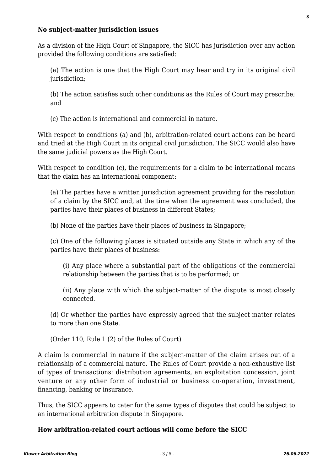#### **No subject-matter jurisdiction issues**

As a division of the High Court of Singapore, the SICC has jurisdiction over any action provided the following conditions are satisfied:

(a) The action is one that the High Court may hear and try in its original civil jurisdiction:

(b) The action satisfies such other conditions as the Rules of Court may prescribe; and

(c) The action is international and commercial in nature.

With respect to conditions (a) and (b), arbitration-related court actions can be heard and tried at the High Court in its original civil jurisdiction. The SICC would also have the same judicial powers as the High Court.

With respect to condition (c), the requirements for a claim to be international means that the claim has an international component:

(a) The parties have a written jurisdiction agreement providing for the resolution of a claim by the SICC and, at the time when the agreement was concluded, the parties have their places of business in different States;

(b) None of the parties have their places of business in Singapore;

(c) One of the following places is situated outside any State in which any of the parties have their places of business:

(i) Any place where a substantial part of the obligations of the commercial relationship between the parties that is to be performed; or

(ii) Any place with which the subject-matter of the dispute is most closely connected.

(d) Or whether the parties have expressly agreed that the subject matter relates to more than one State.

(Order 110, Rule 1 (2) of the Rules of Court)

A claim is commercial in nature if the subject-matter of the claim arises out of a relationship of a commercial nature. The Rules of Court provide a non-exhaustive list of types of transactions: distribution agreements, an exploitation concession, joint venture or any other form of industrial or business co-operation, investment, financing, banking or insurance.

Thus, the SICC appears to cater for the same types of disputes that could be subject to an international arbitration dispute in Singapore.

## **How arbitration-related court actions will come before the SICC**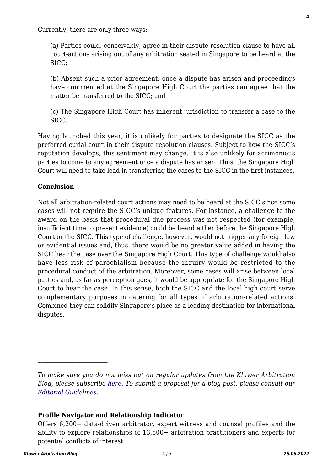Currently, there are only three ways:

(a) Parties could, conceivably, agree in their dispute resolution clause to have all court-actions arising out of any arbitration seated in Singapore to be heard at the SICC;

(b) Absent such a prior agreement, once a dispute has arisen and proceedings have commenced at the Singapore High Court the parties can agree that the matter be transferred to the SICC; and

(c) The Singapore High Court has inherent jurisdiction to transfer a case to the SICC.

Having launched this year, it is unlikely for parties to designate the SICC as the preferred curial court in their dispute resolution clauses. Subject to how the SICC's reputation develops, this sentiment may change. It is also unlikely for acrimonious parties to come to any agreement once a dispute has arisen. Thus, the Singapore High Court will need to take lead in transferring the cases to the SICC in the first instances.

## **Conclusion**

Not all arbitration-related court actions may need to be heard at the SICC since some cases will not require the SICC's unique features. For instance, a challenge to the award on the basis that procedural due process was not respected (for example, insufficient time to present evidence) could be heard either before the Singapore High Court or the SICC. This type of challenge, however, would not trigger any foreign law or evidential issues and, thus, there would be no greater value added in having the SICC hear the case over the Singapore High Court. This type of challenge would also have less risk of parochialism because the inquiry would be restricted to the procedural conduct of the arbitration. Moreover, some cases will arise between local parties and, as far as perception goes, it would be appropriate for the Singapore High Court to hear the case. In this sense, both the SICC and the local high court serve complementary purposes in catering for all types of arbitration-related actions. Combined they can solidify Singapore's place as a leading destination for international disputes.

#### **Profile Navigator and Relationship Indicator**

*To make sure you do not miss out on regular updates from the Kluwer Arbitration Blog, please subscribe [here](http://arbitrationblog.kluwerarbitration.com/newsletter/). To submit a proposal for a blog post, please consult our [Editorial Guidelines.](http://arbitrationblog.kluwerarbitration.com/editorial-guidelines/)*

Offers 6,200+ data-driven arbitrator, expert witness and counsel profiles and the ability to explore relationships of 13,500+ arbitration practitioners and experts for potential conflicts of interest.